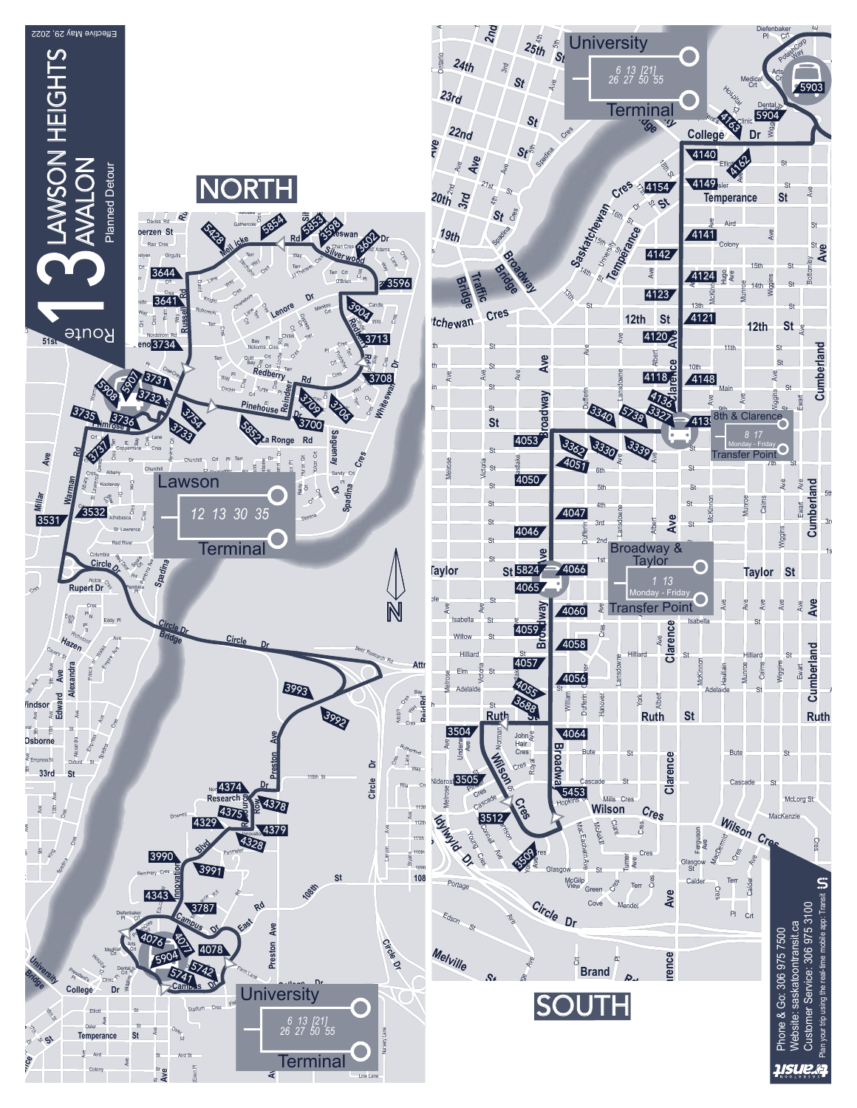